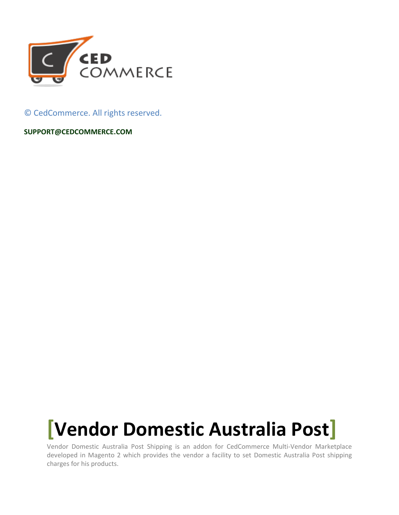

© CedCommerce. All rights reserved.

**SUPPORT@CEDCOMMERCE.COM**

# **[Vendor Domestic Australia Post]**

Vendor Domestic Australia Post Shipping is an addon for CedCommerce Multi-Vendor Marketplace developed in Magento 2 which provides the vendor a facility to set Domestic Australia Post shipping charges for his products.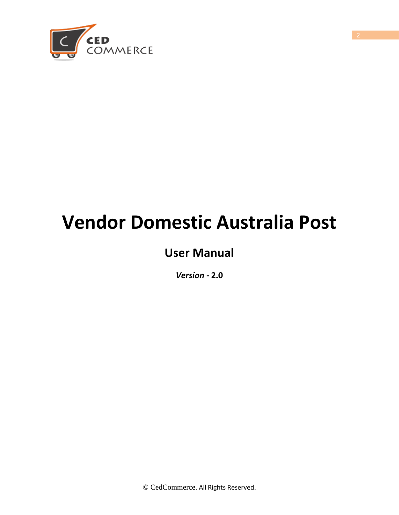

## **Vendor Domestic Australia Post**

## **User Manual**

*Version* **- 2.0**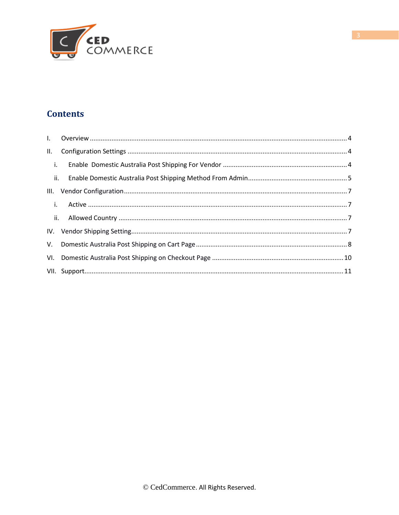

#### **Contents**

<span id="page-2-0"></span>

| $\blacksquare$ i. |  |
|-------------------|--|
|                   |  |
| III.              |  |
| $\sim$ 1. $\sim$  |  |
|                   |  |
|                   |  |
|                   |  |
|                   |  |
|                   |  |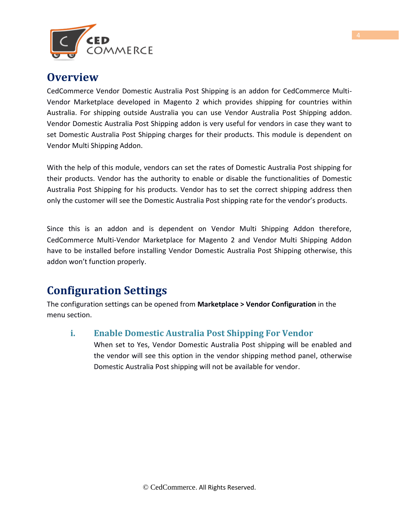

#### **Overview**

CedCommerce Vendor Domestic Australia Post Shipping is an addon for CedCommerce Multi-Vendor Marketplace developed in Magento 2 which provides shipping for countries within Australia. For shipping outside Australia you can use Vendor Australia Post Shipping addon. Vendor Domestic Australia Post Shipping addon is very useful for vendors in case they want to set Domestic Australia Post Shipping charges for their products. This module is dependent on Vendor Multi Shipping Addon.

With the help of this module, vendors can set the rates of Domestic Australia Post shipping for their products. Vendor has the authority to enable or disable the functionalities of Domestic Australia Post Shipping for his products. Vendor has to set the correct shipping address then only the customer will see the Domestic Australia Post shipping rate for the vendor's products.

Since this is an addon and is dependent on Vendor Multi Shipping Addon therefore, CedCommerce Multi-Vendor Marketplace for Magento 2 and Vendor Multi Shipping Addon have to be installed before installing Vendor Domestic Australia Post Shipping otherwise, this addon won't function properly.

## <span id="page-3-0"></span>**Configuration Settings**

The configuration settings can be opened from **Marketplace > Vendor Configuration** in the menu section.

#### **i. Enable Domestic Australia Post Shipping For Vendor**

When set to Yes, Vendor Domestic Australia Post shipping will be enabled and the vendor will see this option in the vendor shipping method panel, otherwise Domestic Australia Post shipping will not be available for vendor.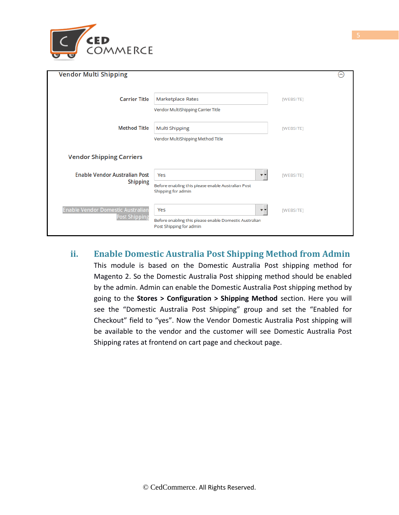

| <b>Vendor Multi Shipping</b>                                     |                                                                                                                     | $(\frown)$       |
|------------------------------------------------------------------|---------------------------------------------------------------------------------------------------------------------|------------------|
| <b>Carrier Title</b>                                             | Marketplace Rates<br>Vendor MultiShipping Carrier Title                                                             | [WEBSITE]        |
| <b>Method Title</b>                                              | Multi Shipping<br>Vendor MultiShipping Method Title                                                                 | [WEBSITE]        |
| <b>Vendor Shipping Carriers</b>                                  |                                                                                                                     |                  |
| Enable Vendor Australian Post<br><b>Shipping</b>                 | Yes<br>$\overline{\mathbf{v}}$<br>Before enabling this please enable Australian Post<br>Shipping for admin          | [WEBSITE]        |
| <b>Enable Vendor Domestic Australian</b><br><b>Post Shipping</b> | Yes<br>$\overline{\mathbf{v}}$<br>Before enabling this please enable Domestic Australian<br>Post Shipping for admin | <b>IWEBSITET</b> |

#### **ii. Enable Domestic Australia Post Shipping Method from Admin**

This module is based on the Domestic Australia Post shipping method for Magento 2. So the Domestic Australia Post shipping method should be enabled by the admin. Admin can enable the Domestic Australia Post shipping method by going to the **Stores > Configuration > Shipping Method** section. Here you will see the "Domestic Australia Post Shipping" group and set the "Enabled for Checkout" field to "yes". Now the Vendor Domestic Australia Post shipping will be available to the vendor and the customer will see Domestic Australia Post Shipping rates at frontend on cart page and checkout page.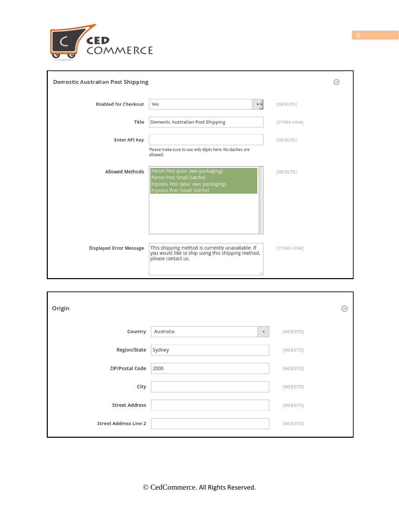

| <b>Domestic Australian Post Shipping</b> |                                                                                                                                         | $(\sim)$     |
|------------------------------------------|-----------------------------------------------------------------------------------------------------------------------------------------|--------------|
| <b>Enabled for Checkout</b>              | Yes<br>$\overline{\mathbf{v}}$ $\overline{\mathbf{v}}$                                                                                  | [WEBSITE]    |
| Title                                    | Domestic Australian Post Shipping                                                                                                       | [STORE VIEW] |
| <b>Enter API Key</b>                     |                                                                                                                                         | [WEBSITE]    |
|                                          | Please make sure to use only digits here. No dashes are<br>allowed.                                                                     |              |
| <b>Allowed Methods</b>                   | Parcel Post (your own packaging)<br>Parcel Post Small Satchel<br>Express Post (your own packaging)<br><b>Express Post Small Satchel</b> | [WEBSITE]    |
|                                          |                                                                                                                                         |              |
|                                          |                                                                                                                                         |              |
| <b>Displayed Error Message</b>           | This shipping method is currently unavailable. If<br>you would like to ship using this shipping method,<br>please contact us.           | [STORE VIEW] |
|                                          |                                                                                                                                         |              |

| Origin                       |                                   | ര         |
|------------------------------|-----------------------------------|-----------|
| Country                      | Australia<br>$\blacktriangledown$ | [WEBSITE] |
| <b>Region/State</b>          | Sydney                            | [WEBSITE] |
| <b>ZIP/Postal Code</b>       | 2000                              | [WEBSITE] |
| City                         |                                   | [WEBSITE] |
| <b>Street Address</b>        |                                   | [WEBSITE] |
| <b>Street Address Line 2</b> |                                   | [WEBSITE] |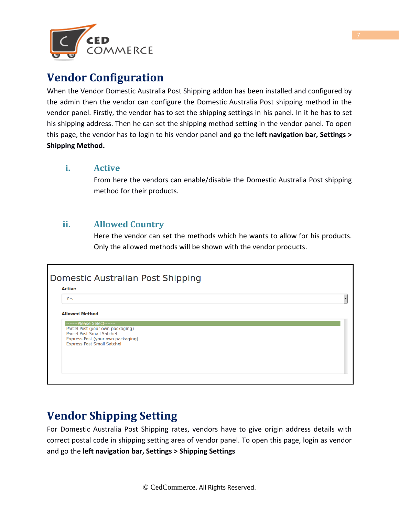

## **Vendor Configuration**

When the Vendor Domestic Australia Post Shipping addon has been installed and configured by the admin then the vendor can configure the Domestic Australia Post shipping method in the vendor panel. Firstly, the vendor has to set the shipping settings in his panel. In it he has to set his shipping address. Then he can set the shipping method setting in the vendor panel. To open this page, the vendor has to login to his vendor panel and go the **left navigation bar, Settings > Shipping Method.**

#### **i. Active**

From here the vendors can enable/disable the Domestic Australia Post shipping method for their products.

#### **ii. Allowed Country**

Here the vendor can set the methods which he wants to allow for his products. Only the allowed methods will be shown with the vendor products.



## **Vendor Shipping Setting**

For Domestic Australia Post Shipping rates, vendors have to give origin address details with correct postal code in shipping setting area of vendor panel. To open this page, login as vendor and go the **left navigation bar, Settings > Shipping Settings**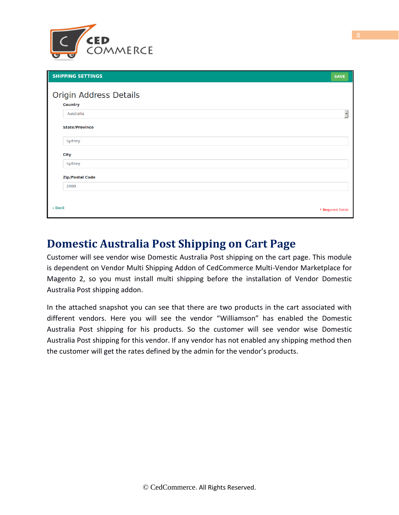

| <b>SHIPPING SETTINGS</b> | <b>SAVE</b>       |
|--------------------------|-------------------|
| Origin Address Details   |                   |
| <b>Country</b>           |                   |
| Australia                |                   |
| <b>State/Province</b>    |                   |
| Sydney                   |                   |
| <b>City</b>              |                   |
| Sydney                   |                   |
| <b>Zip/Postal Code</b>   |                   |
| 2000                     |                   |
|                          |                   |
| « Back                   | * Required Fields |

### **Domestic Australia Post Shipping on Cart Page**

Customer will see vendor wise Domestic Australia Post shipping on the cart page. This module is dependent on Vendor Multi Shipping Addon of CedCommerce Multi-Vendor Marketplace for Magento 2, so you must install multi shipping before the installation of Vendor Domestic Australia Post shipping addon.

In the attached snapshot you can see that there are two products in the cart associated with different vendors. Here you will see the vendor "Williamson" has enabled the Domestic Australia Post shipping for his products. So the customer will see vendor wise Domestic Australia Post shipping for this vendor. If any vendor has not enabled any shipping method then the customer will get the rates defined by the admin for the vendor's products.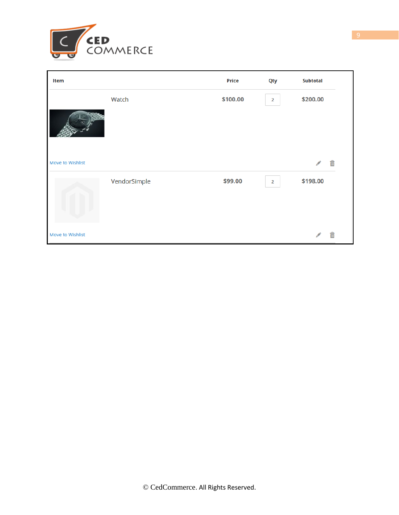

| Item             |              | <b>Price</b> | Qty            | <b>Subtotal</b> |  |
|------------------|--------------|--------------|----------------|-----------------|--|
|                  | Watch        | \$100.00     | $\overline{2}$ | \$200.00        |  |
|                  |              |              |                |                 |  |
| Move to Wishlist |              |              |                | 命               |  |
|                  | VendorSimple | \$99.00      | $\overline{2}$ | \$198.00        |  |
| Move to Wishlist |              |              |                | 命               |  |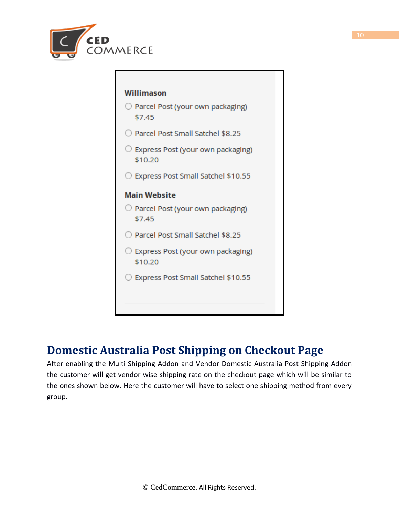



## <span id="page-9-0"></span>**Domestic Australia Post Shipping on Checkout Page**

After enabling the Multi Shipping Addon and Vendor Domestic Australia Post Shipping Addon the customer will get vendor wise shipping rate on the checkout page which will be similar to the ones shown below. Here the customer will have to select one shipping method from every group.